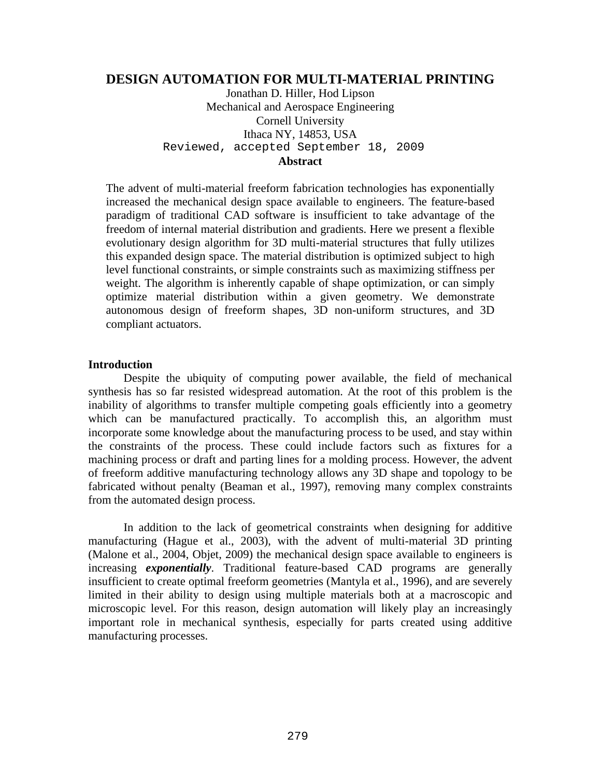# **DESIGN AUTOMATION FOR MULTI-MATERIAL PRINTING**

Jonathan D. Hiller, Hod Lipson Mechanical and Aerospace Engineering Cornell University Ithaca NY, 14853, USA Reviewed, accepted September 18, 2009

# **Abstract**

The advent of multi-material freeform fabrication technologies has exponentially increased the mechanical design space available to engineers. The feature-based paradigm of traditional CAD software is insufficient to take advantage of the freedom of internal material distribution and gradients. Here we present a flexible evolutionary design algorithm for 3D multi-material structures that fully utilizes this expanded design space. The material distribution is optimized subject to high level functional constraints, or simple constraints such as maximizing stiffness per weight. The algorithm is inherently capable of shape optimization, or can simply optimize material distribution within a given geometry. We demonstrate autonomous design of freeform shapes, 3D non-uniform structures, and 3D compliant actuators.

## **Introduction**

 Despite the ubiquity of computing power available, the field of mechanical synthesis has so far resisted widespread automation. At the root of this problem is the inability of algorithms to transfer multiple competing goals efficiently into a geometry which can be manufactured practically. To accomplish this, an algorithm must incorporate some knowledge about the manufacturing process to be used, and stay within the constraints of the process. These could include factors such as fixtures for a machining process or draft and parting lines for a molding process. However, the advent of freeform additive manufacturing technology allows any 3D shape and topology to be fabricated without penalty (Beaman et al., 1997), removing many complex constraints from the automated design process.

 In addition to the lack of geometrical constraints when designing for additive manufacturing (Hague et al., 2003), with the advent of multi-material 3D printing (Malone et al., 2004, Objet, 2009) the mechanical design space available to engineers is increasing *exponentially*. Traditional feature-based CAD programs are generally insufficient to create optimal freeform geometries (Mantyla et al., 1996), and are severely limited in their ability to design using multiple materials both at a macroscopic and microscopic level. For this reason, design automation will likely play an increasingly important role in mechanical synthesis, especially for parts created using additive manufacturing processes.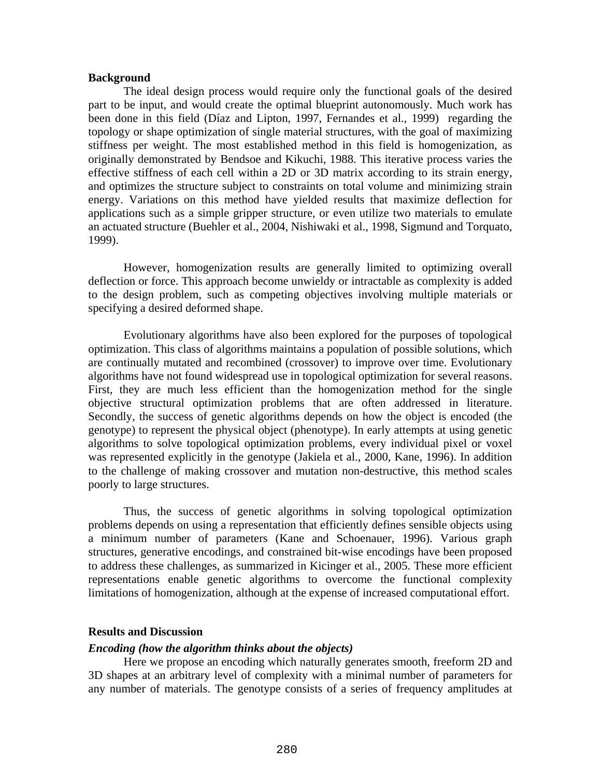### **Background**

 The ideal design process would require only the functional goals of the desired part to be input, and would create the optimal blueprint autonomously. Much work has been done in this field (Díaz and Lipton, 1997, Fernandes et al., 1999) regarding the topology or shape optimization of single material structures, with the goal of maximizing stiffness per weight. The most established method in this field is homogenization, as originally demonstrated by Bendsoe and Kikuchi, 1988. This iterative process varies the effective stiffness of each cell within a 2D or 3D matrix according to its strain energy, and optimizes the structure subject to constraints on total volume and minimizing strain energy. Variations on this method have yielded results that maximize deflection for applications such as a simple gripper structure, or even utilize two materials to emulate an actuated structure (Buehler et al., 2004, Nishiwaki et al., 1998, Sigmund and Torquato, 1999).

 However, homogenization results are generally limited to optimizing overall deflection or force. This approach become unwieldy or intractable as complexity is added to the design problem, such as competing objectives involving multiple materials or specifying a desired deformed shape.

 Evolutionary algorithms have also been explored for the purposes of topological optimization. This class of algorithms maintains a population of possible solutions, which are continually mutated and recombined (crossover) to improve over time. Evolutionary algorithms have not found widespread use in topological optimization for several reasons. First, they are much less efficient than the homogenization method for the single objective structural optimization problems that are often addressed in literature. Secondly, the success of genetic algorithms depends on how the object is encoded (the genotype) to represent the physical object (phenotype). In early attempts at using genetic algorithms to solve topological optimization problems, every individual pixel or voxel was represented explicitly in the genotype (Jakiela et al., 2000, Kane, 1996). In addition to the challenge of making crossover and mutation non-destructive, this method scales poorly to large structures.

 Thus, the success of genetic algorithms in solving topological optimization problems depends on using a representation that efficiently defines sensible objects using a minimum number of parameters (Kane and Schoenauer, 1996). Various graph structures, generative encodings, and constrained bit-wise encodings have been proposed to address these challenges, as summarized in Kicinger et al., 2005. These more efficient representations enable genetic algorithms to overcome the functional complexity limitations of homogenization, although at the expense of increased computational effort.

### **Results and Discussion**

#### *Encoding (how the algorithm thinks about the objects)*

 Here we propose an encoding which naturally generates smooth, freeform 2D and 3D shapes at an arbitrary level of complexity with a minimal number of parameters for any number of materials. The genotype consists of a series of frequency amplitudes at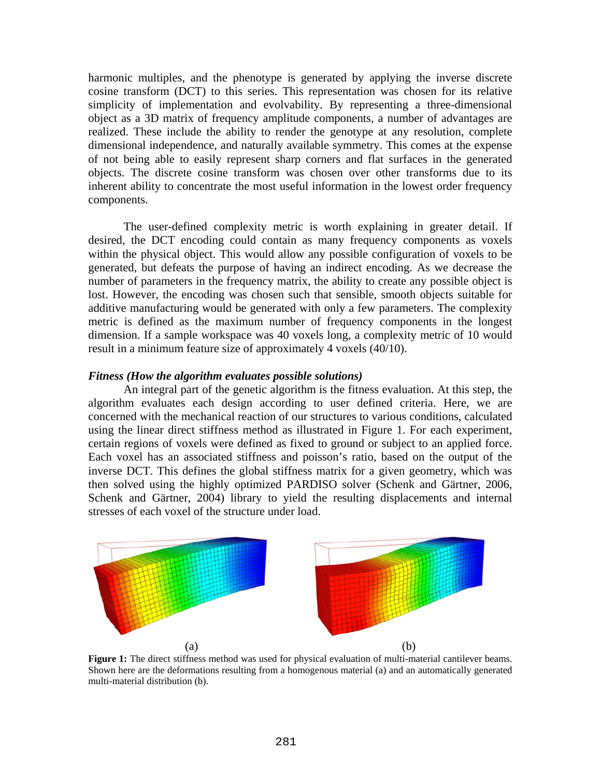harmonic multiples, and the phenotype is generated by applying the inverse discrete cosine transform (DCT) to this series. This representation was chosen for its relative simplicity of implementation and evolvability. By representing a three-dimensional object as a 3D matrix of frequency amplitude components, a number of advantages are realized. These include the ability to render the genotype at any resolution, complete dimensional independence, and naturally available symmetry. This comes at the expense of not being able to easily represent sharp corners and flat surfaces in the generated objects. The discrete cosine transform was chosen over other transforms due to its inherent ability to concentrate the most useful information in the lowest order frequency components.

 The user-defined complexity metric is worth explaining in greater detail. If desired, the DCT encoding could contain as many frequency components as voxels within the physical object. This would allow any possible configuration of voxels to be generated, but defeats the purpose of having an indirect encoding. As we decrease the number of parameters in the frequency matrix, the ability to create any possible object is lost. However, the encoding was chosen such that sensible, smooth objects suitable for additive manufacturing would be generated with only a few parameters. The complexity metric is defined as the maximum number of frequency components in the longest dimension. If a sample workspace was 40 voxels long, a complexity metric of 10 would result in a minimum feature size of approximately 4 voxels (40/10).

#### *Fitness (How the algorithm evaluates possible solutions)*

 An integral part of the genetic algorithm is the fitness evaluation. At this step, the algorithm evaluates each design according to user defined criteria. Here, we are concerned with the mechanical reaction of our structures to various conditions, calculated using the linear direct stiffness method as illustrated in [Figure 1](#page-2-0). For each experiment, certain regions of voxels were defined as fixed to ground or subject to an applied force. Each voxel has an associated stiffness and poisson's ratio, based on the output of the inverse DCT. This defines the global stiffness matrix for a given geometry, which was then solved using the highly optimized PARDISO solver (Schenk and Gärtner, 2006, Schenk and Gärtner, 2004) library to yield the resulting displacements and internal stresses of each voxel of the structure under load.



<span id="page-2-0"></span>**Figure 1:** The direct stiffness method was used for physical evaluation of multi-material cantilever beams. Shown here are the deformations resulting from a homogenous material (a) and an automatically generated multi-material distribution (b).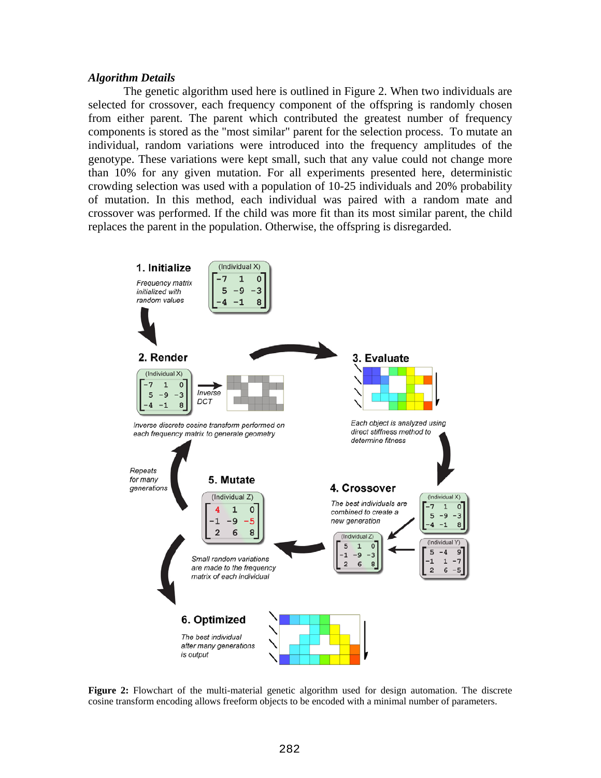#### *Algorithm Details*

 The genetic algorithm used here is outlined in [Figure 2.](#page-3-0) When two individuals are selected for crossover, each frequency component of the offspring is randomly chosen from either parent. The parent which contributed the greatest number of frequency components is stored as the "most similar" parent for the selection process. To mutate an individual, random variations were introduced into the frequency amplitudes of the genotype. These variations were kept small, such that any value could not change more than 10% for any given mutation. For all experiments presented here, deterministic crowding selection was used with a population of 10-25 individuals and 20% probability of mutation. In this method, each individual was paired with a random mate and crossover was performed. If the child was more fit than its most similar parent, the child replaces the parent in the population. Otherwise, the offspring is disregarded.



<span id="page-3-0"></span>**Figure 2:** Flowchart of the multi-material genetic algorithm used for design automation. The discrete cosine transform encoding allows freeform objects to be encoded with a minimal number of parameters.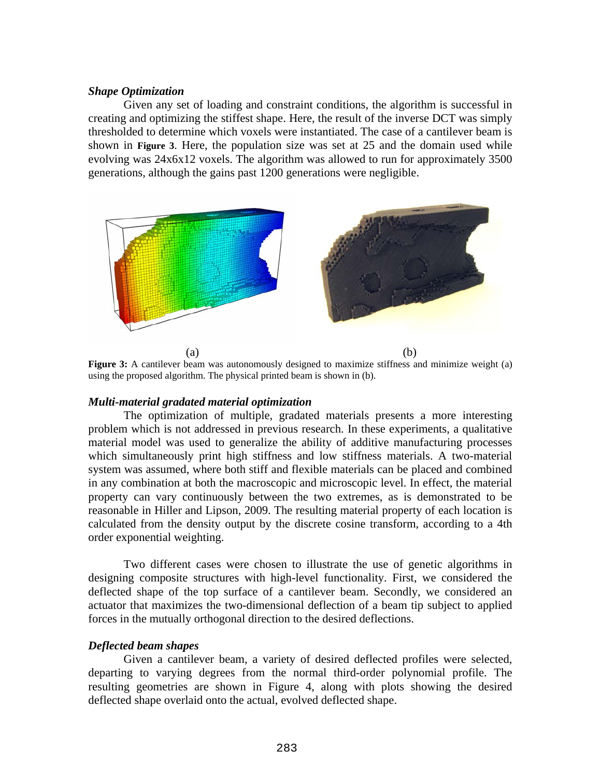## *Shape Optimization*

 Given any set of loading and constraint conditions, the algorithm is successful in creating and optimizing the stiffest shape. Here, the result of the inverse DCT was simply thresholded to determine which voxels were instantiated. The case of a cantilever beam is shown in **[Figure 3](#page-4-0)**. Here, the population size was set at 25 and the domain used while evolving was 24x6x12 voxels. The algorithm was allowed to run for approximately 3500 generations, although the gains past 1200 generations were negligible.



<span id="page-4-0"></span>**Figure 3:** A cantilever beam was autonomously designed to maximize stiffness and minimize weight (a) using the proposed algorithm. The physical printed beam is shown in (b).

## *Multi-material gradated material optimization*

 The optimization of multiple, gradated materials presents a more interesting problem which is not addressed in previous research. In these experiments, a qualitative material model was used to generalize the ability of additive manufacturing processes which simultaneously print high stiffness and low stiffness materials. A two-material system was assumed, where both stiff and flexible materials can be placed and combined in any combination at both the macroscopic and microscopic level. In effect, the material property can vary continuously between the two extremes, as is demonstrated to be reasonable in Hiller and Lipson, 2009. The resulting material property of each location is calculated from the density output by the discrete cosine transform, according to a 4th order exponential weighting.

 Two different cases were chosen to illustrate the use of genetic algorithms in designing composite structures with high-level functionality. First, we considered the deflected shape of the top surface of a cantilever beam. Secondly, we considered an actuator that maximizes the two-dimensional deflection of a beam tip subject to applied forces in the mutually orthogonal direction to the desired deflections.

#### *Deflected beam shapes*

 Given a cantilever beam, a variety of desired deflected profiles were selected, departing to varying degrees from the normal third-order polynomial profile. The resulting geometries are shown in [Figure 4](#page-5-0), along with plots showing the desired deflected shape overlaid onto the actual, evolved deflected shape.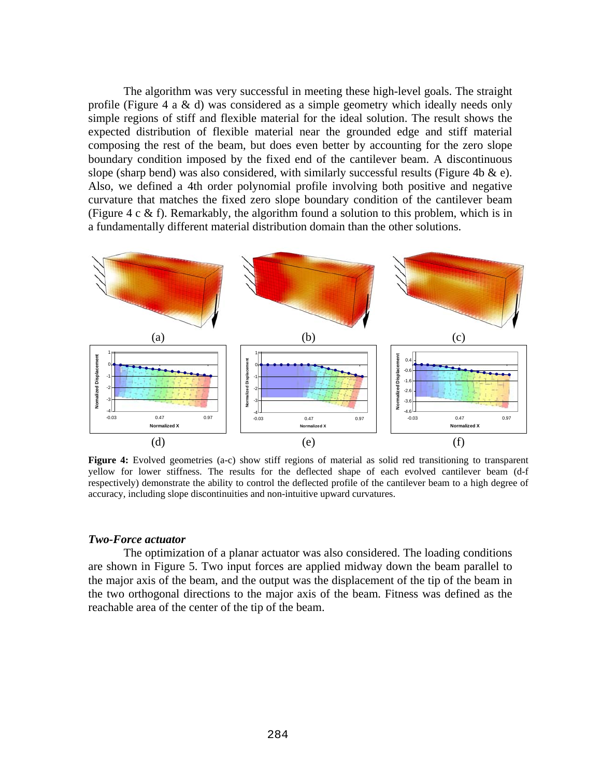The algorithm was very successful in meeting these high-level goals. The straight profile [\(Figure 4](#page-5-0) a & d) was considered as a simple geometry which ideally needs only simple regions of stiff and flexible material for the ideal solution. The result shows the expected distribution of flexible material near the grounded edge and stiff material composing the rest of the beam, but does even better by accounting for the zero slope boundary condition imposed by the fixed end of the cantilever beam. A discontinuous slope (sharp bend) was also considered, with similarly successful results [\(Figure 4b](#page-5-0)  $\&$  e). Also, we defined a 4th order polynomial profile involving both positive and negative curvature that matches the fixed zero slope boundary condition of the cantilever beam ([Figure 4](#page-5-0) c & f). Remarkably, the algorithm found a solution to this problem, which is in a fundamentally different material distribution domain than the other solutions.



<span id="page-5-0"></span>**Figure 4:** Evolved geometries (a-c) show stiff regions of material as solid red transitioning to transparent yellow for lower stiffness. The results for the deflected shape of each evolved cantilever beam (d-f respectively) demonstrate the ability to control the deflected profile of the cantilever beam to a high degree of accuracy, including slope discontinuities and non-intuitive upward curvatures.

### *Two-Force actuator*

 The optimization of a planar actuator was also considered. The loading conditions are shown in [Figure 5](#page-6-0). Two input forces are applied midway down the beam parallel to the major axis of the beam, and the output was the displacement of the tip of the beam in the two orthogonal directions to the major axis of the beam. Fitness was defined as the reachable area of the center of the tip of the beam.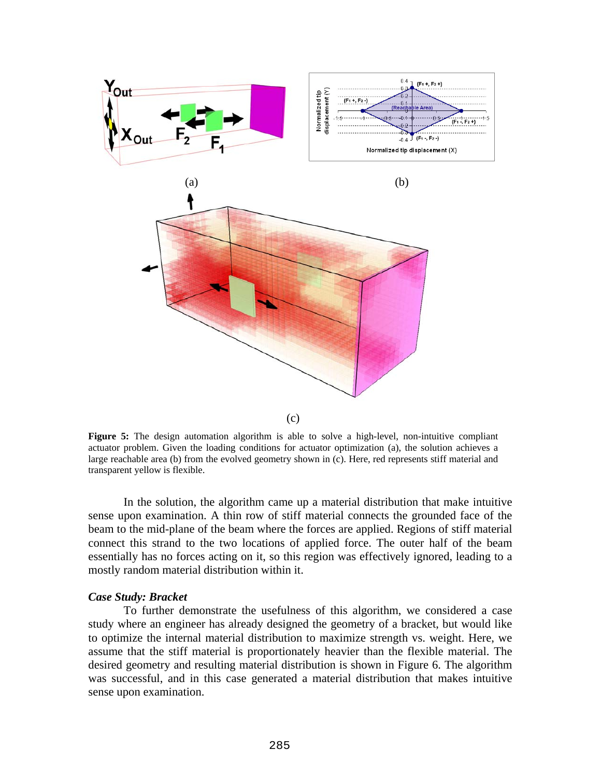

<span id="page-6-0"></span>**Figure 5:** The design automation algorithm is able to solve a high-level, non-intuitive compliant actuator problem. Given the loading conditions for actuator optimization (a), the solution achieves a large reachable area (b) from the evolved geometry shown in (c). Here, red represents stiff material and transparent yellow is flexible.

 In the solution, the algorithm came up a material distribution that make intuitive sense upon examination. A thin row of stiff material connects the grounded face of the beam to the mid-plane of the beam where the forces are applied. Regions of stiff material connect this strand to the two locations of applied force. The outer half of the beam essentially has no forces acting on it, so this region was effectively ignored, leading to a mostly random material distribution within it.

### *Case Study: Bracket*

 To further demonstrate the usefulness of this algorithm, we considered a case study where an engineer has already designed the geometry of a bracket, but would like to optimize the internal material distribution to maximize strength vs. weight. Here, we assume that the stiff material is proportionately heavier than the flexible material. The desired geometry and resulting material distribution is shown in [Figure 6](#page-7-0). The algorithm was successful, and in this case generated a material distribution that makes intuitive sense upon examination.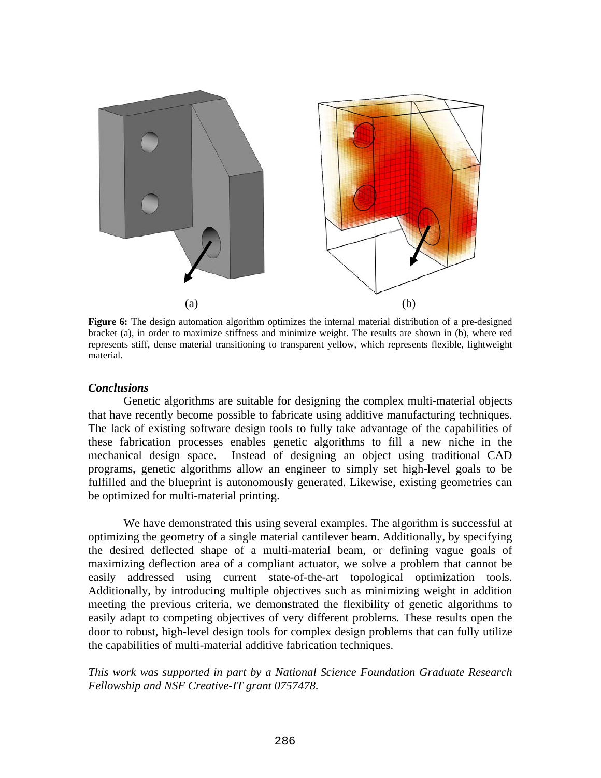

<span id="page-7-0"></span>**Figure 6:** The design automation algorithm optimizes the internal material distribution of a pre-designed bracket (a), in order to maximize stiffness and minimize weight. The results are shown in (b), where red represents stiff, dense material transitioning to transparent yellow, which represents flexible, lightweight material.

## *Conclusions*

 Genetic algorithms are suitable for designing the complex multi-material objects that have recently become possible to fabricate using additive manufacturing techniques. The lack of existing software design tools to fully take advantage of the capabilities of these fabrication processes enables genetic algorithms to fill a new niche in the mechanical design space. Instead of designing an object using traditional CAD programs, genetic algorithms allow an engineer to simply set high-level goals to be fulfilled and the blueprint is autonomously generated. Likewise, existing geometries can be optimized for multi-material printing.

 We have demonstrated this using several examples. The algorithm is successful at optimizing the geometry of a single material cantilever beam. Additionally, by specifying the desired deflected shape of a multi-material beam, or defining vague goals of maximizing deflection area of a compliant actuator, we solve a problem that cannot be easily addressed using current state-of-the-art topological optimization tools. Additionally, by introducing multiple objectives such as minimizing weight in addition meeting the previous criteria, we demonstrated the flexibility of genetic algorithms to easily adapt to competing objectives of very different problems. These results open the door to robust, high-level design tools for complex design problems that can fully utilize the capabilities of multi-material additive fabrication techniques.

# *This work was supported in part by a National Science Foundation Graduate Research Fellowship and NSF Creative-IT grant 0757478.*